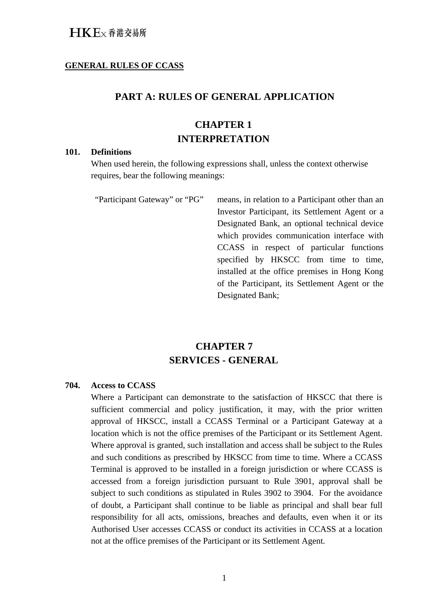#### **GENERAL RULES OF CCASS**

### **PART A: RULES OF GENERAL APPLICATION**

## **CHAPTER 1 INTERPRETATION**

#### **101. Definitions**

When used herein, the following expressions shall, unless the context otherwise requires, bear the following meanings:

"Participant Gateway" or "PG" means, in relation to a Participant other than an Investor Participant, its Settlement Agent or a Designated Bank, an optional technical device which provides communication interface with CCASS in respect of particular functions specified by HKSCC from time to time, installed at the office premises in Hong Kong of the Participant, its Settlement Agent or the Designated Bank;

# **CHAPTER 7 SERVICES - GENERAL**

#### **704. Access to CCASS**

Where a Participant can demonstrate to the satisfaction of HKSCC that there is sufficient commercial and policy justification, it may, with the prior written approval of HKSCC, install a CCASS Terminal or a Participant Gateway at a location which is not the office premises of the Participant or its Settlement Agent. Where approval is granted, such installation and access shall be subject to the Rules and such conditions as prescribed by HKSCC from time to time. Where a CCASS Terminal is approved to be installed in a foreign jurisdiction or where CCASS is accessed from a foreign jurisdiction pursuant to Rule 3901, approval shall be subject to such conditions as stipulated in Rules 3902 to 3904. For the avoidance of doubt, a Participant shall continue to be liable as principal and shall bear full responsibility for all acts, omissions, breaches and defaults, even when it or its Authorised User accesses CCASS or conduct its activities in CCASS at a location not at the office premises of the Participant or its Settlement Agent.